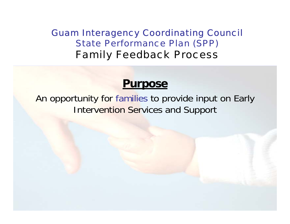#### Guam Interagency Coordinating Council State Performance Plan (SPP) Family Feedback Process

#### **Purpose**

An opportunity for families to provide input on Early Intervention Services and Support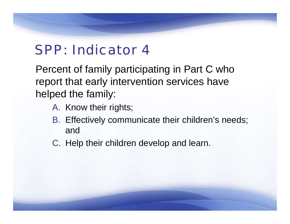# SPP: Indicator 4

Percent of family participating in Part C who report that early intervention services have helped the family:

- A. Know their rights;
- B. Effectively communicate their children's needs; and
- C. Help their children develop and learn.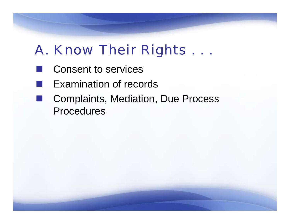# A. Know Their Rights . . .

- Consent to services
- **College** Examination of records
- i<br>List Complaints, Mediation, Due Process Procedures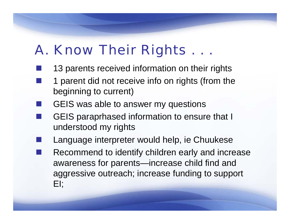# A. Know Their Rights . . .

- 13 parents received information on their rights
- 1 parent did not receive info on rights (from the beginning to current)
- GEIS was able to answer my questions
- GEIS paraprhased information to ensure that I understood my rights
- **STATE OF STATE OF STATE OF STATE OF STATE OF STATE OF STATE OF STATE OF STATE OF STATE OF STATE OF STATE** Language interpreter would help, ie Chuukese
- **STATE OF STATE OF STATE OF STATE OF STATE OF STATE OF STATE OF STATE OF STATE OF STATE OF STATE OF STATE**  Recommend to identify children early and increase awareness for parents—increase child find and aggressive outreach; increase funding to support EI;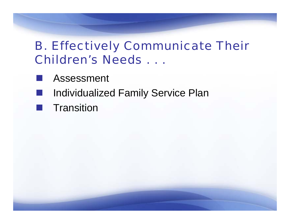### B. Effectively Communicate Their Children's Needs . . .

- Assessment
- h<br>M Individualized Family Service Plan
- **T** Transition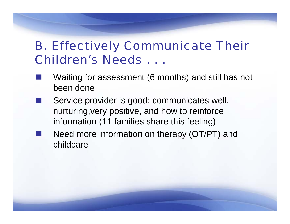### B. Effectively Communicate Their Children's Needs . . .

- Waiting for assessment (6 months) and still has not been done;
- Service provider is good; communicates well, nurturing,very positive, and how to reinforce information (11 families share this feeling)
- Need more information on therapy (OT/PT) and childcare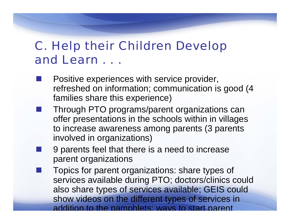### C. Help their Children Develop and Learn . . .

- Positive experiences with service provider, refreshed on information; communication is good (4 families share this experience)
- Through PTO programs/parent organizations can offer presentations in the schools within in villages to increase awareness among parents (3 parents involved in organizations)
	- 9 parents feel that there is a need to increase parent organizations

**Service Service** 

 Topics for parent organizations: share types of services available during PTO; doctors/clinics could also share types of services available; GEIS could show videos on the different types of services in addition to the pamphlets; ways to start parent